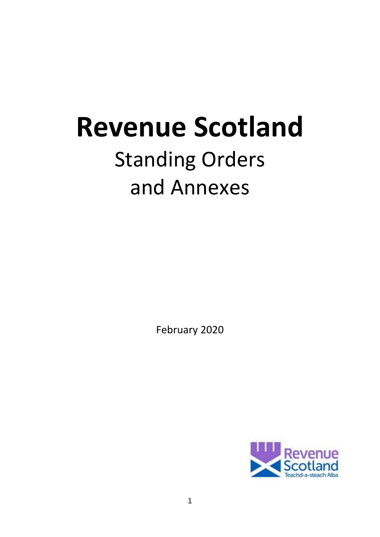# **Revenue Scotland**

# Standing Orders and Annexes

February 2020

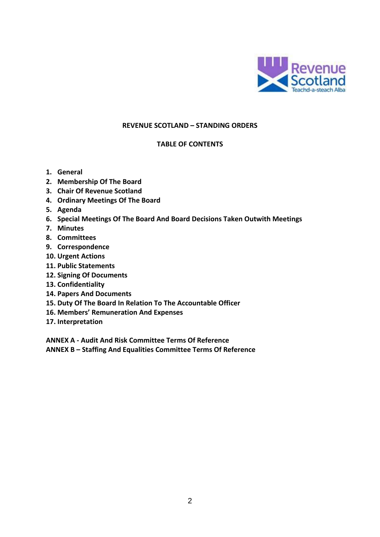

#### **REVENUE SCOTLAND – STANDING ORDERS**

#### **TABLE OF CONTENTS**

- **1. General**
- **2. Membership Of The Board**
- **3. Chair Of Revenue Scotland**
- **4. Ordinary Meetings Of The Board**
- **5. Agenda**
- **6. Special Meetings Of The Board And Board Decisions Taken Outwith Meetings**
- **7. Minutes**
- **8. Committees**
- **9. Correspondence**
- **10. Urgent Actions**
- **11. Public Statements**
- **12. Signing Of Documents**
- **13. Confidentiality**
- **14. Papers And Documents**
- **15. Duty Of The Board In Relation To The Accountable Officer**
- **16. Members' Remuneration And Expenses**
- **17. Interpretation**

**ANNEX A - Audit And Risk Committee Terms Of Reference** 

**ANNEX B – Staffing And Equalities Committee Terms Of Reference**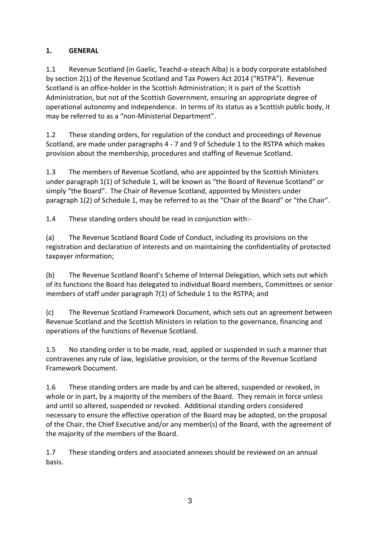# **1. GENERAL**

1.1 Revenue Scotland (in Gaelic, Teachd-a-steach Alba) is a body corporate established by section 2(1) of the Revenue Scotland and Tax Powers Act 2014 ("RSTPA"). Revenue Scotland is an office-holder in the Scottish Administration; it is part of the Scottish Administration, but not of the Scottish Government, ensuring an appropriate degree of operational autonomy and independence. In terms of its status as a Scottish public body, it may be referred to as a "non-Ministerial Department".

1.2 These standing orders, for regulation of the conduct and proceedings of Revenue Scotland, are made under paragraphs 4 - 7 and 9 of Schedule 1 to the RSTPA which makes provision about the membership, procedures and staffing of Revenue Scotland.

1.3 The members of Revenue Scotland, who are appointed by the Scottish Ministers under paragraph 1(1) of Schedule 1, will be known as "the Board of Revenue Scotland" or simply "the Board". The Chair of Revenue Scotland, appointed by Ministers under paragraph 1(2) of Schedule 1, may be referred to as the "Chair of the Board" or "the Chair".

1.4 These standing orders should be read in conjunction with:-

(a) The Revenue Scotland Board Code of Conduct, including its provisions on the registration and declaration of interests and on maintaining the confidentiality of protected taxpayer information;

(b) The Revenue Scotland Board's Scheme of Internal Delegation, which sets out which of its functions the Board has delegated to individual Board members, Committees or senior members of staff under paragraph 7(1) of Schedule 1 to the RSTPA; and

(c) The Revenue Scotland Framework Document, which sets out an agreement between Revenue Scotland and the Scottish Ministers in relation to the governance, financing and operations of the functions of Revenue Scotland.

1.5 No standing order is to be made, read, applied or suspended in such a manner that contravenes any rule of law, legislative provision, or the terms of the Revenue Scotland Framework Document.

1.6 These standing orders are made by and can be altered, suspended or revoked, in whole or in part, by a majority of the members of the Board. They remain in force unless and until so altered, suspended or revoked. Additional standing orders considered necessary to ensure the effective operation of the Board may be adopted, on the proposal of the Chair, the Chief Executive and/or any member(s) of the Board, with the agreement of the majority of the members of the Board.

1.7 These standing orders and associated annexes should be reviewed on an annual basis.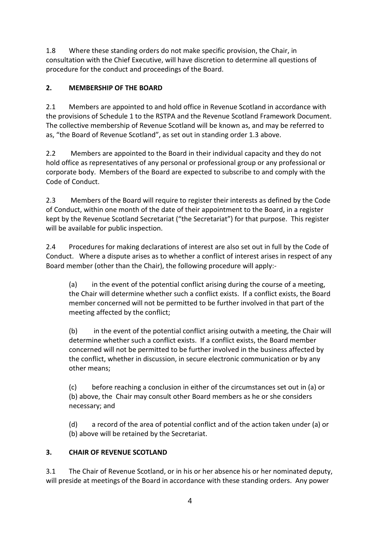1.8 Where these standing orders do not make specific provision, the Chair, in consultation with the Chief Executive, will have discretion to determine all questions of procedure for the conduct and proceedings of the Board.

# **2. MEMBERSHIP OF THE BOARD**

2.1 Members are appointed to and hold office in Revenue Scotland in accordance with the provisions of Schedule 1 to the RSTPA and the Revenue Scotland Framework Document. The collective membership of Revenue Scotland will be known as, and may be referred to as, "the Board of Revenue Scotland", as set out in standing order 1.3 above.

2.2 Members are appointed to the Board in their individual capacity and they do not hold office as representatives of any personal or professional group or any professional or corporate body. Members of the Board are expected to subscribe to and comply with the Code of Conduct.

2.3 Members of the Board will require to register their interests as defined by the Code of Conduct, within one month of the date of their appointment to the Board, in a register kept by the Revenue Scotland Secretariat ("the Secretariat") for that purpose. This register will be available for public inspection.

2.4 Procedures for making declarations of interest are also set out in full by the Code of Conduct. Where a dispute arises as to whether a conflict of interest arises in respect of any Board member (other than the Chair), the following procedure will apply:-

(a) in the event of the potential conflict arising during the course of a meeting, the Chair will determine whether such a conflict exists. If a conflict exists, the Board member concerned will not be permitted to be further involved in that part of the meeting affected by the conflict;

(b) in the event of the potential conflict arising outwith a meeting, the Chair will determine whether such a conflict exists. If a conflict exists, the Board member concerned will not be permitted to be further involved in the business affected by the conflict, whether in discussion, in secure electronic communication or by any other means;

(c) before reaching a conclusion in either of the circumstances set out in (a) or (b) above, the Chair may consult other Board members as he or she considers necessary; and

(d) a record of the area of potential conflict and of the action taken under (a) or (b) above will be retained by the Secretariat.

# **3. CHAIR OF REVENUE SCOTLAND**

3.1 The Chair of Revenue Scotland, or in his or her absence his or her nominated deputy, will preside at meetings of the Board in accordance with these standing orders. Any power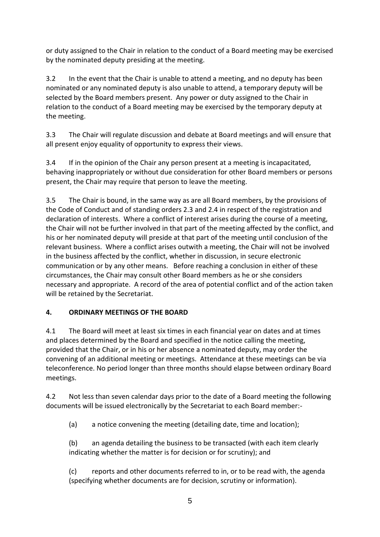or duty assigned to the Chair in relation to the conduct of a Board meeting may be exercised by the nominated deputy presiding at the meeting.

3.2 In the event that the Chair is unable to attend a meeting, and no deputy has been nominated or any nominated deputy is also unable to attend, a temporary deputy will be selected by the Board members present. Any power or duty assigned to the Chair in relation to the conduct of a Board meeting may be exercised by the temporary deputy at the meeting.

3.3 The Chair will regulate discussion and debate at Board meetings and will ensure that all present enjoy equality of opportunity to express their views.

3.4 If in the opinion of the Chair any person present at a meeting is incapacitated, behaving inappropriately or without due consideration for other Board members or persons present, the Chair may require that person to leave the meeting.

3.5 The Chair is bound, in the same way as are all Board members, by the provisions of the Code of Conduct and of standing orders 2.3 and 2.4 in respect of the registration and declaration of interests. Where a conflict of interest arises during the course of a meeting, the Chair will not be further involved in that part of the meeting affected by the conflict, and his or her nominated deputy will preside at that part of the meeting until conclusion of the relevant business. Where a conflict arises outwith a meeting, the Chair will not be involved in the business affected by the conflict, whether in discussion, in secure electronic communication or by any other means. Before reaching a conclusion in either of these circumstances, the Chair may consult other Board members as he or she considers necessary and appropriate. A record of the area of potential conflict and of the action taken will be retained by the Secretariat.

# **4. ORDINARY MEETINGS OF THE BOARD**

4.1 The Board will meet at least six times in each financial year on dates and at times and places determined by the Board and specified in the notice calling the meeting, provided that the Chair, or in his or her absence a nominated deputy, may order the convening of an additional meeting or meetings. Attendance at these meetings can be via teleconference. No period longer than three months should elapse between ordinary Board meetings.

4.2 Not less than seven calendar days prior to the date of a Board meeting the following documents will be issued electronically by the Secretariat to each Board member:-

(a) a notice convening the meeting (detailing date, time and location);

(b) an agenda detailing the business to be transacted (with each item clearly indicating whether the matter is for decision or for scrutiny); and

(c) reports and other documents referred to in, or to be read with, the agenda (specifying whether documents are for decision, scrutiny or information).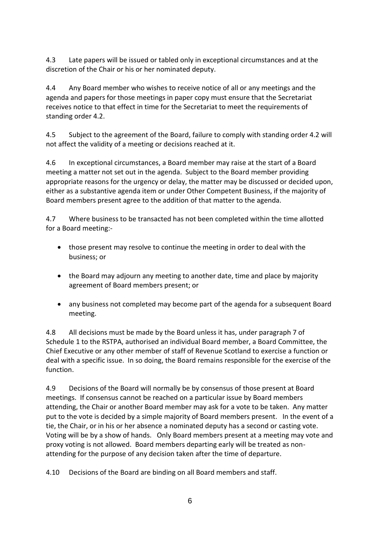4.3 Late papers will be issued or tabled only in exceptional circumstances and at the discretion of the Chair or his or her nominated deputy.

4.4 Any Board member who wishes to receive notice of all or any meetings and the agenda and papers for those meetings in paper copy must ensure that the Secretariat receives notice to that effect in time for the Secretariat to meet the requirements of standing order 4.2.

4.5 Subject to the agreement of the Board, failure to comply with standing order 4.2 will not affect the validity of a meeting or decisions reached at it.

4.6 In exceptional circumstances, a Board member may raise at the start of a Board meeting a matter not set out in the agenda. Subject to the Board member providing appropriate reasons for the urgency or delay, the matter may be discussed or decided upon, either as a substantive agenda item or under Other Competent Business, if the majority of Board members present agree to the addition of that matter to the agenda.

4.7 Where business to be transacted has not been completed within the time allotted for a Board meeting:-

- those present may resolve to continue the meeting in order to deal with the business; or
- the Board may adjourn any meeting to another date, time and place by majority agreement of Board members present; or
- any business not completed may become part of the agenda for a subsequent Board meeting.

4.8 All decisions must be made by the Board unless it has, under paragraph 7 of Schedule 1 to the RSTPA, authorised an individual Board member, a Board Committee, the Chief Executive or any other member of staff of Revenue Scotland to exercise a function or deal with a specific issue. In so doing, the Board remains responsible for the exercise of the function.

4.9 Decisions of the Board will normally be by consensus of those present at Board meetings. If consensus cannot be reached on a particular issue by Board members attending, the Chair or another Board member may ask for a vote to be taken. Any matter put to the vote is decided by a simple majority of Board members present. In the event of a tie, the Chair, or in his or her absence a nominated deputy has a second or casting vote. Voting will be by a show of hands. Only Board members present at a meeting may vote and proxy voting is not allowed. Board members departing early will be treated as nonattending for the purpose of any decision taken after the time of departure.

4.10 Decisions of the Board are binding on all Board members and staff.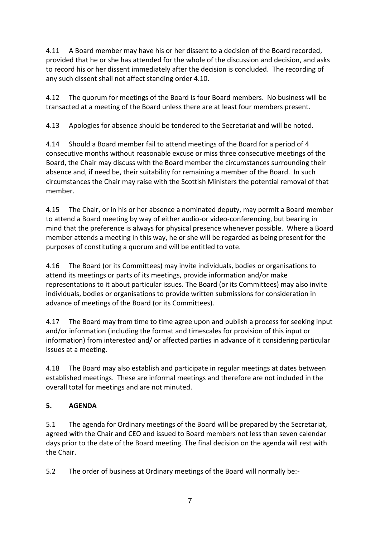4.11 A Board member may have his or her dissent to a decision of the Board recorded, provided that he or she has attended for the whole of the discussion and decision, and asks to record his or her dissent immediately after the decision is concluded. The recording of any such dissent shall not affect standing order 4.10.

4.12 The quorum for meetings of the Board is four Board members. No business will be transacted at a meeting of the Board unless there are at least four members present.

4.13 Apologies for absence should be tendered to the Secretariat and will be noted.

4.14 Should a Board member fail to attend meetings of the Board for a period of 4 consecutive months without reasonable excuse or miss three consecutive meetings of the Board, the Chair may discuss with the Board member the circumstances surrounding their absence and, if need be, their suitability for remaining a member of the Board. In such circumstances the Chair may raise with the Scottish Ministers the potential removal of that member.

4.15 The Chair, or in his or her absence a nominated deputy, may permit a Board member to attend a Board meeting by way of either audio-or video-conferencing, but bearing in mind that the preference is always for physical presence whenever possible. Where a Board member attends a meeting in this way, he or she will be regarded as being present for the purposes of constituting a quorum and will be entitled to vote.

4.16 The Board (or its Committees) may invite individuals, bodies or organisations to attend its meetings or parts of its meetings, provide information and/or make representations to it about particular issues. The Board (or its Committees) may also invite individuals, bodies or organisations to provide written submissions for consideration in advance of meetings of the Board (or its Committees).

4.17 The Board may from time to time agree upon and publish a process for seeking input and/or information (including the format and timescales for provision of this input or information) from interested and/ or affected parties in advance of it considering particular issues at a meeting.

4.18 The Board may also establish and participate in regular meetings at dates between established meetings. These are informal meetings and therefore are not included in the overall total for meetings and are not minuted.

# **5. AGENDA**

5.1 The agenda for Ordinary meetings of the Board will be prepared by the Secretariat, agreed with the Chair and CEO and issued to Board members not less than seven calendar days prior to the date of the Board meeting. The final decision on the agenda will rest with the Chair.

5.2 The order of business at Ordinary meetings of the Board will normally be:-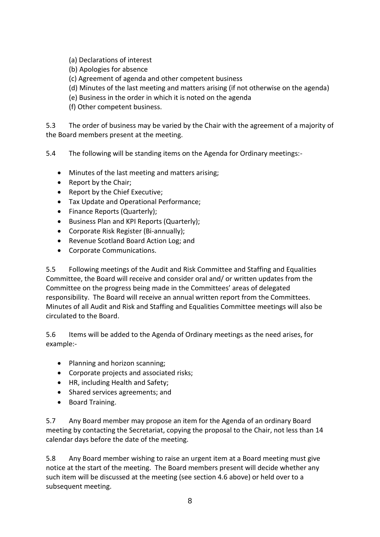- (a) Declarations of interest
- (b) Apologies for absence
- (c) Agreement of agenda and other competent business
- (d) Minutes of the last meeting and matters arising (if not otherwise on the agenda)
- (e) Business in the order in which it is noted on the agenda
- (f) Other competent business.

5.3 The order of business may be varied by the Chair with the agreement of a majority of the Board members present at the meeting.

5.4 The following will be standing items on the Agenda for Ordinary meetings:-

- Minutes of the last meeting and matters arising;
- Report by the Chair;
- Report by the Chief Executive;
- Tax Update and Operational Performance;
- Finance Reports (Quarterly);
- Business Plan and KPI Reports (Quarterly);
- Corporate Risk Register (Bi-annually);
- Revenue Scotland Board Action Log; and
- Corporate Communications.

5.5 Following meetings of the Audit and Risk Committee and Staffing and Equalities Committee, the Board will receive and consider oral and/ or written updates from the Committee on the progress being made in the Committees' areas of delegated responsibility. The Board will receive an annual written report from the Committees. Minutes of all Audit and Risk and Staffing and Equalities Committee meetings will also be circulated to the Board.

5.6 Items will be added to the Agenda of Ordinary meetings as the need arises, for example:-

- Planning and horizon scanning;
- Corporate projects and associated risks;
- HR, including Health and Safety:
- Shared services agreements; and
- Board Training.

5.7 Any Board member may propose an item for the Agenda of an ordinary Board meeting by contacting the Secretariat, copying the proposal to the Chair, not less than 14 calendar days before the date of the meeting.

5.8 Any Board member wishing to raise an urgent item at a Board meeting must give notice at the start of the meeting. The Board members present will decide whether any such item will be discussed at the meeting (see section 4.6 above) or held over to a subsequent meeting.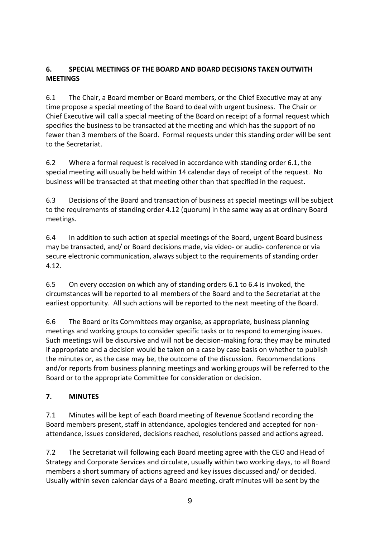# **6. SPECIAL MEETINGS OF THE BOARD AND BOARD DECISIONS TAKEN OUTWITH MEETINGS**

6.1 The Chair, a Board member or Board members, or the Chief Executive may at any time propose a special meeting of the Board to deal with urgent business. The Chair or Chief Executive will call a special meeting of the Board on receipt of a formal request which specifies the business to be transacted at the meeting and which has the support of no fewer than 3 members of the Board. Formal requests under this standing order will be sent to the Secretariat.

6.2 Where a formal request is received in accordance with standing order 6.1, the special meeting will usually be held within 14 calendar days of receipt of the request. No business will be transacted at that meeting other than that specified in the request.

6.3 Decisions of the Board and transaction of business at special meetings will be subject to the requirements of standing order 4.12 (quorum) in the same way as at ordinary Board meetings.

6.4 In addition to such action at special meetings of the Board, urgent Board business may be transacted, and/ or Board decisions made, via video- or audio- conference or via secure electronic communication, always subject to the requirements of standing order 4.12.

6.5 On every occasion on which any of standing orders 6.1 to 6.4 is invoked, the circumstances will be reported to all members of the Board and to the Secretariat at the earliest opportunity. All such actions will be reported to the next meeting of the Board.

6.6 The Board or its Committees may organise, as appropriate, business planning meetings and working groups to consider specific tasks or to respond to emerging issues. Such meetings will be discursive and will not be decision-making fora; they may be minuted if appropriate and a decision would be taken on a case by case basis on whether to publish the minutes or, as the case may be, the outcome of the discussion. Recommendations and/or reports from business planning meetings and working groups will be referred to the Board or to the appropriate Committee for consideration or decision.

# **7. MINUTES**

7.1 Minutes will be kept of each Board meeting of Revenue Scotland recording the Board members present, staff in attendance, apologies tendered and accepted for nonattendance, issues considered, decisions reached, resolutions passed and actions agreed.

7.2 The Secretariat will following each Board meeting agree with the CEO and Head of Strategy and Corporate Services and circulate, usually within two working days, to all Board members a short summary of actions agreed and key issues discussed and/ or decided. Usually within seven calendar days of a Board meeting, draft minutes will be sent by the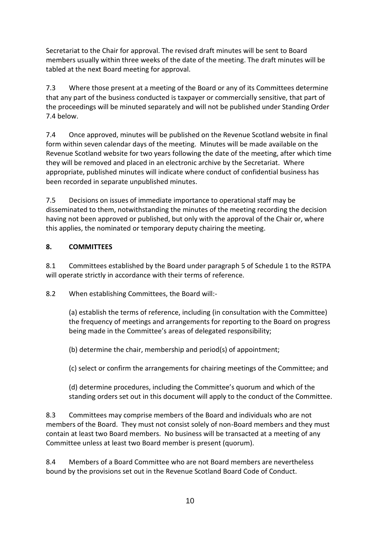Secretariat to the Chair for approval. The revised draft minutes will be sent to Board members usually within three weeks of the date of the meeting. The draft minutes will be tabled at the next Board meeting for approval.

7.3 Where those present at a meeting of the Board or any of its Committees determine that any part of the business conducted is taxpayer or commercially sensitive, that part of the proceedings will be minuted separately and will not be published under Standing Order 7.4 below.

7.4 Once approved, minutes will be published on the Revenue Scotland website in final form within seven calendar days of the meeting. Minutes will be made available on the Revenue Scotland website for two years following the date of the meeting, after which time they will be removed and placed in an electronic archive by the Secretariat. Where appropriate, published minutes will indicate where conduct of confidential business has been recorded in separate unpublished minutes.

7.5 Decisions on issues of immediate importance to operational staff may be disseminated to them, notwithstanding the minutes of the meeting recording the decision having not been approved or published, but only with the approval of the Chair or, where this applies, the nominated or temporary deputy chairing the meeting.

# **8. COMMITTEES**

8.1 Committees established by the Board under paragraph 5 of Schedule 1 to the RSTPA will operate strictly in accordance with their terms of reference.

8.2 When establishing Committees, the Board will:-

(a) establish the terms of reference, including (in consultation with the Committee) the frequency of meetings and arrangements for reporting to the Board on progress being made in the Committee's areas of delegated responsibility;

(b) determine the chair, membership and period(s) of appointment;

(c) select or confirm the arrangements for chairing meetings of the Committee; and

(d) determine procedures, including the Committee's quorum and which of the standing orders set out in this document will apply to the conduct of the Committee.

8.3 Committees may comprise members of the Board and individuals who are not members of the Board. They must not consist solely of non-Board members and they must contain at least two Board members. No business will be transacted at a meeting of any Committee unless at least two Board member is present (quorum).

8.4 Members of a Board Committee who are not Board members are nevertheless bound by the provisions set out in the Revenue Scotland Board Code of Conduct.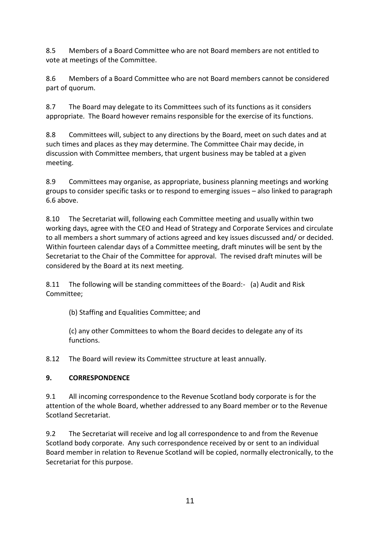8.5 Members of a Board Committee who are not Board members are not entitled to vote at meetings of the Committee.

8.6 Members of a Board Committee who are not Board members cannot be considered part of quorum.

8.7 The Board may delegate to its Committees such of its functions as it considers appropriate. The Board however remains responsible for the exercise of its functions.

8.8 Committees will, subject to any directions by the Board, meet on such dates and at such times and places as they may determine. The Committee Chair may decide, in discussion with Committee members, that urgent business may be tabled at a given meeting.

8.9 Committees may organise, as appropriate, business planning meetings and working groups to consider specific tasks or to respond to emerging issues – also linked to paragraph 6.6 above.

8.10 The Secretariat will, following each Committee meeting and usually within two working days, agree with the CEO and Head of Strategy and Corporate Services and circulate to all members a short summary of actions agreed and key issues discussed and/ or decided. Within fourteen calendar days of a Committee meeting, draft minutes will be sent by the Secretariat to the Chair of the Committee for approval. The revised draft minutes will be considered by the Board at its next meeting.

8.11 The following will be standing committees of the Board:- (a) Audit and Risk Committee;

(b) Staffing and Equalities Committee; and

(c) any other Committees to whom the Board decides to delegate any of its functions.

8.12 The Board will review its Committee structure at least annually.

# **9. CORRESPONDENCE**

9.1 All incoming correspondence to the Revenue Scotland body corporate is for the attention of the whole Board, whether addressed to any Board member or to the Revenue Scotland Secretariat.

9.2 The Secretariat will receive and log all correspondence to and from the Revenue Scotland body corporate. Any such correspondence received by or sent to an individual Board member in relation to Revenue Scotland will be copied, normally electronically, to the Secretariat for this purpose.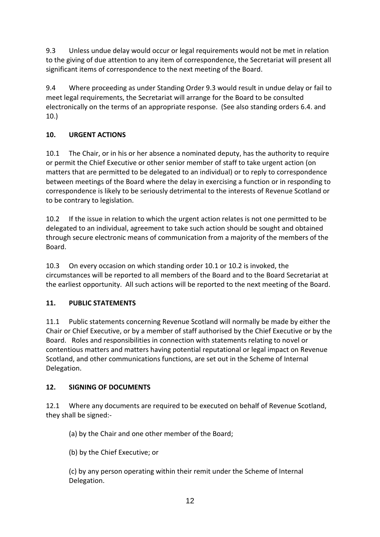9.3 Unless undue delay would occur or legal requirements would not be met in relation to the giving of due attention to any item of correspondence, the Secretariat will present all significant items of correspondence to the next meeting of the Board.

9.4 Where proceeding as under Standing Order 9.3 would result in undue delay or fail to meet legal requirements, the Secretariat will arrange for the Board to be consulted electronically on the terms of an appropriate response. (See also standing orders 6.4. and 10.)

# **10. URGENT ACTIONS**

10.1 The Chair, or in his or her absence a nominated deputy, has the authority to require or permit the Chief Executive or other senior member of staff to take urgent action (on matters that are permitted to be delegated to an individual) or to reply to correspondence between meetings of the Board where the delay in exercising a function or in responding to correspondence is likely to be seriously detrimental to the interests of Revenue Scotland or to be contrary to legislation.

10.2 If the issue in relation to which the urgent action relates is not one permitted to be delegated to an individual, agreement to take such action should be sought and obtained through secure electronic means of communication from a majority of the members of the Board.

10.3 On every occasion on which standing order 10.1 or 10.2 is invoked, the circumstances will be reported to all members of the Board and to the Board Secretariat at the earliest opportunity. All such actions will be reported to the next meeting of the Board.

#### **11. PUBLIC STATEMENTS**

11.1 Public statements concerning Revenue Scotland will normally be made by either the Chair or Chief Executive, or by a member of staff authorised by the Chief Executive or by the Board. Roles and responsibilities in connection with statements relating to novel or contentious matters and matters having potential reputational or legal impact on Revenue Scotland, and other communications functions, are set out in the Scheme of Internal Delegation.

#### **12. SIGNING OF DOCUMENTS**

12.1 Where any documents are required to be executed on behalf of Revenue Scotland, they shall be signed:-

(a) by the Chair and one other member of the Board;

(b) by the Chief Executive; or

(c) by any person operating within their remit under the Scheme of Internal Delegation.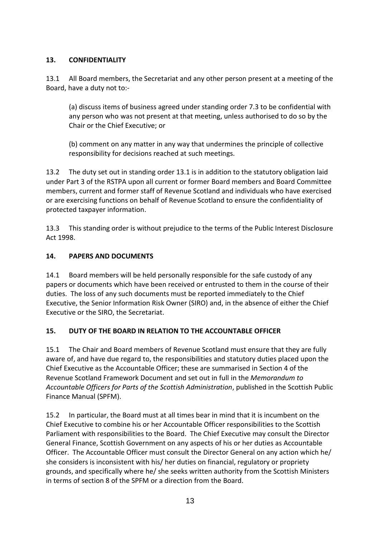# **13. CONFIDENTIALITY**

13.1 All Board members, the Secretariat and any other person present at a meeting of the Board, have a duty not to:-

(a) discuss items of business agreed under standing order 7.3 to be confidential with any person who was not present at that meeting, unless authorised to do so by the Chair or the Chief Executive; or

(b) comment on any matter in any way that undermines the principle of collective responsibility for decisions reached at such meetings.

13.2 The duty set out in standing order 13.1 is in addition to the statutory obligation laid under Part 3 of the RSTPA upon all current or former Board members and Board Committee members, current and former staff of Revenue Scotland and individuals who have exercised or are exercising functions on behalf of Revenue Scotland to ensure the confidentiality of protected taxpayer information.

13.3 This standing order is without prejudice to the terms of the Public Interest Disclosure Act 1998.

# **14. PAPERS AND DOCUMENTS**

14.1 Board members will be held personally responsible for the safe custody of any papers or documents which have been received or entrusted to them in the course of their duties. The loss of any such documents must be reported immediately to the Chief Executive, the Senior Information Risk Owner (SIRO) and, in the absence of either the Chief Executive or the SIRO, the Secretariat.

# **15. DUTY OF THE BOARD IN RELATION TO THE ACCOUNTABLE OFFICER**

15.1 The Chair and Board members of Revenue Scotland must ensure that they are fully aware of, and have due regard to, the responsibilities and statutory duties placed upon the Chief Executive as the Accountable Officer; these are summarised in Section 4 of the Revenue Scotland Framework Document and set out in full in the *Memorandum to Accountable Officers for Parts of the Scottish Administration*, published in the Scottish Public Finance Manual (SPFM).

15.2 In particular, the Board must at all times bear in mind that it is incumbent on the Chief Executive to combine his or her Accountable Officer responsibilities to the Scottish Parliament with responsibilities to the Board. The Chief Executive may consult the Director General Finance, Scottish Government on any aspects of his or her duties as Accountable Officer. The Accountable Officer must consult the Director General on any action which he/ she considers is inconsistent with his/ her duties on financial, regulatory or propriety grounds, and specifically where he/ she seeks written authority from the Scottish Ministers in terms of section 8 of the SPFM or a direction from the Board.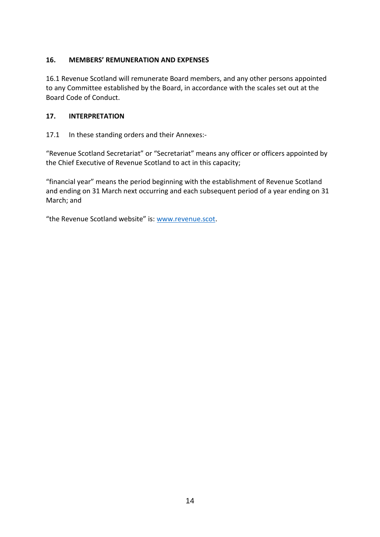#### **16. MEMBERS' REMUNERATION AND EXPENSES**

16.1 Revenue Scotland will remunerate Board members, and any other persons appointed to any Committee established by the Board, in accordance with the scales set out at the Board Code of Conduct.

#### **17. INTERPRETATION**

17.1 In these standing orders and their Annexes:-

"Revenue Scotland Secretariat" or "Secretariat" means any officer or officers appointed by the Chief Executive of Revenue Scotland to act in this capacity;

"financial year" means the period beginning with the establishment of Revenue Scotland and ending on 31 March next occurring and each subsequent period of a year ending on 31 March; and

"the Revenue Scotland website" is: [www.revenue.scot.](http://www.revenue.scot/)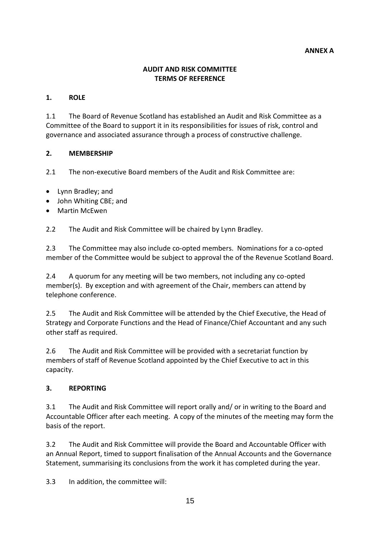#### **ANNEX A**

#### **AUDIT AND RISK COMMITTEE TERMS OF REFERENCE**

#### **1. ROLE**

1.1 The Board of Revenue Scotland has established an Audit and Risk Committee as a Committee of the Board to support it in its responsibilities for issues of risk, control and governance and associated assurance through a process of constructive challenge.

#### **2. MEMBERSHIP**

2.1 The non-executive Board members of the Audit and Risk Committee are:

- Lynn Bradley; and
- John Whiting CBE; and
- Martin McEwen

2.2 The Audit and Risk Committee will be chaired by Lynn Bradley.

2.3 The Committee may also include co-opted members. Nominations for a co-opted member of the Committee would be subject to approval the of the Revenue Scotland Board.

2.4 A quorum for any meeting will be two members, not including any co-opted member(s). By exception and with agreement of the Chair, members can attend by telephone conference.

2.5 The Audit and Risk Committee will be attended by the Chief Executive, the Head of Strategy and Corporate Functions and the Head of Finance/Chief Accountant and any such other staff as required.

2.6 The Audit and Risk Committee will be provided with a secretariat function by members of staff of Revenue Scotland appointed by the Chief Executive to act in this capacity.

#### **3. REPORTING**

3.1 The Audit and Risk Committee will report orally and/ or in writing to the Board and Accountable Officer after each meeting. A copy of the minutes of the meeting may form the basis of the report.

3.2 The Audit and Risk Committee will provide the Board and Accountable Officer with an Annual Report, timed to support finalisation of the Annual Accounts and the Governance Statement, summarising its conclusions from the work it has completed during the year.

3.3 In addition, the committee will: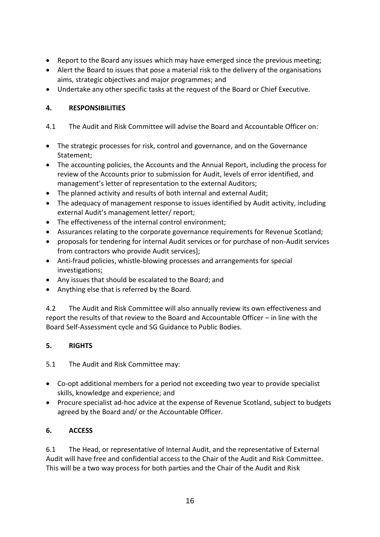- Report to the Board any issues which may have emerged since the previous meeting;
- Alert the Board to issues that pose a material risk to the delivery of the organisations aims, strategic objectives and major programmes; and
- Undertake any other specific tasks at the request of the Board or Chief Executive.

#### **4. RESPONSIBILITIES**

- 4.1 The Audit and Risk Committee will advise the Board and Accountable Officer on:
- The strategic processes for risk, control and governance, and on the Governance Statement;
- The accounting policies, the Accounts and the Annual Report, including the process for review of the Accounts prior to submission for Audit, levels of error identified, and management's letter of representation to the external Auditors;
- The planned activity and results of both internal and external Audit;
- The adequacy of management response to issues identified by Audit activity, including external Audit's management letter/ report;
- The effectiveness of the internal control environment;
- Assurances relating to the corporate governance requirements for Revenue Scotland;
- proposals for tendering for internal Audit services or for purchase of non-Audit services from contractors who provide Audit services];
- Anti-fraud policies, whistle-blowing processes and arrangements for special investigations;
- Any issues that should be escalated to the Board; and
- Anything else that is referred by the Board.

4.2 The Audit and Risk Committee will also annually review its own effectiveness and report the results of that review to the Board and Accountable Officer – in line with the Board Self-Assessment cycle and SG Guidance to Public Bodies.

#### **5. RIGHTS**

5.1 The Audit and Risk Committee may:

- Co-opt additional members for a period not exceeding two year to provide specialist skills, knowledge and experience; and
- Procure specialist ad-hoc advice at the expense of Revenue Scotland, subject to budgets agreed by the Board and/ or the Accountable Officer.

#### **6. ACCESS**

6.1 The Head, or representative of Internal Audit, and the representative of External Audit will have free and confidential access to the Chair of the Audit and Risk Committee. This will be a two way process for both parties and the Chair of the Audit and Risk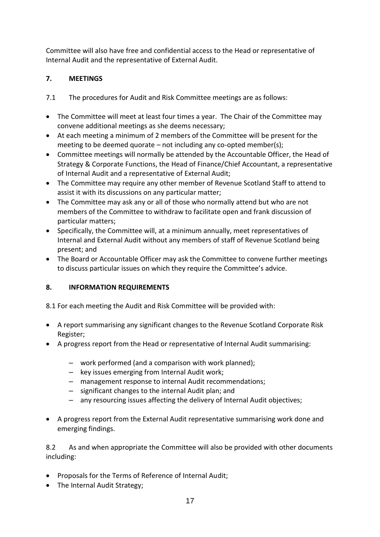Committee will also have free and confidential access to the Head or representative of Internal Audit and the representative of External Audit.

# **7. MEETINGS**

- 7.1 The procedures for Audit and Risk Committee meetings are as follows:
- The Committee will meet at least four times a year. The Chair of the Committee may convene additional meetings as she deems necessary;
- At each meeting a minimum of 2 members of the Committee will be present for the meeting to be deemed quorate – not including any co-opted member(s);
- Committee meetings will normally be attended by the Accountable Officer, the Head of Strategy & Corporate Functions, the Head of Finance/Chief Accountant, a representative of Internal Audit and a representative of External Audit;
- The Committee may require any other member of Revenue Scotland Staff to attend to assist it with its discussions on any particular matter;
- The Committee may ask any or all of those who normally attend but who are not members of the Committee to withdraw to facilitate open and frank discussion of particular matters;
- Specifically, the Committee will, at a minimum annually, meet representatives of Internal and External Audit without any members of staff of Revenue Scotland being present; and
- The Board or Accountable Officer may ask the Committee to convene further meetings to discuss particular issues on which they require the Committee's advice.

# **8. INFORMATION REQUIREMENTS**

8.1 For each meeting the Audit and Risk Committee will be provided with:

- A report summarising any significant changes to the Revenue Scotland Corporate Risk Register;
- A progress report from the Head or representative of Internal Audit summarising:
	- work performed (and a comparison with work planned);
	- key issues emerging from Internal Audit work;
	- management response to internal Audit recommendations;
	- significant changes to the internal Audit plan; and
	- any resourcing issues affecting the delivery of Internal Audit objectives;
- A progress report from the External Audit representative summarising work done and emerging findings.

8.2 As and when appropriate the Committee will also be provided with other documents including:

- Proposals for the Terms of Reference of Internal Audit;
- The Internal Audit Strategy: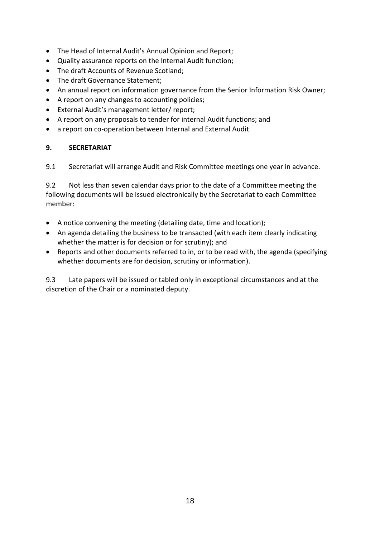- The Head of Internal Audit's Annual Opinion and Report;
- Quality assurance reports on the Internal Audit function;
- The draft Accounts of Revenue Scotland;
- The draft Governance Statement;
- An annual report on information governance from the Senior Information Risk Owner;
- A report on any changes to accounting policies;
- External Audit's management letter/ report;
- A report on any proposals to tender for internal Audit functions; and
- a report on co-operation between Internal and External Audit.

#### **9. SECRETARIAT**

9.1 Secretariat will arrange Audit and Risk Committee meetings one year in advance.

9.2 Not less than seven calendar days prior to the date of a Committee meeting the following documents will be issued electronically by the Secretariat to each Committee member:

- A notice convening the meeting (detailing date, time and location);
- An agenda detailing the business to be transacted (with each item clearly indicating whether the matter is for decision or for scrutiny); and
- Reports and other documents referred to in, or to be read with, the agenda (specifying whether documents are for decision, scrutiny or information).

9.3 Late papers will be issued or tabled only in exceptional circumstances and at the discretion of the Chair or a nominated deputy.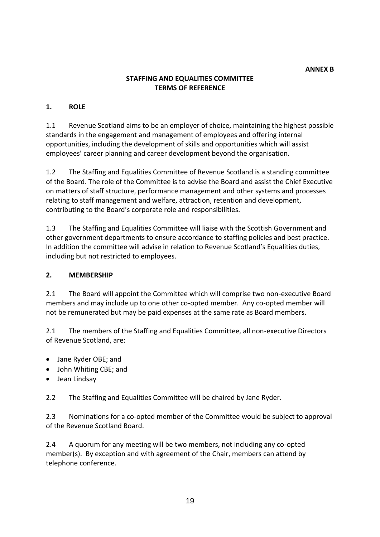#### **STAFFING AND EQUALITIES COMMITTEE TERMS OF REFERENCE**

#### **1. ROLE**

1.1 Revenue Scotland aims to be an employer of choice, maintaining the highest possible standards in the engagement and management of employees and offering internal opportunities, including the development of skills and opportunities which will assist employees' career planning and career development beyond the organisation.

1.2 The Staffing and Equalities Committee of Revenue Scotland is a standing committee of the Board. The role of the Committee is to advise the Board and assist the Chief Executive on matters of staff structure, performance management and other systems and processes relating to staff management and welfare, attraction, retention and development, contributing to the Board's corporate role and responsibilities.

1.3 The Staffing and Equalities Committee will liaise with the Scottish Government and other government departments to ensure accordance to staffing policies and best practice. In addition the committee will advise in relation to Revenue Scotland's Equalities duties, including but not restricted to employees.

#### **2. MEMBERSHIP**

2.1 The Board will appoint the Committee which will comprise two non-executive Board members and may include up to one other co-opted member. Any co-opted member will not be remunerated but may be paid expenses at the same rate as Board members.

2.1 The members of the Staffing and Equalities Committee, all non-executive Directors of Revenue Scotland, are:

- Jane Ryder OBE; and
- John Whiting CBE; and
- Jean Lindsay

2.2 The Staffing and Equalities Committee will be chaired by Jane Ryder.

2.3 Nominations for a co-opted member of the Committee would be subject to approval of the Revenue Scotland Board.

2.4 A quorum for any meeting will be two members, not including any co-opted member(s). By exception and with agreement of the Chair, members can attend by telephone conference.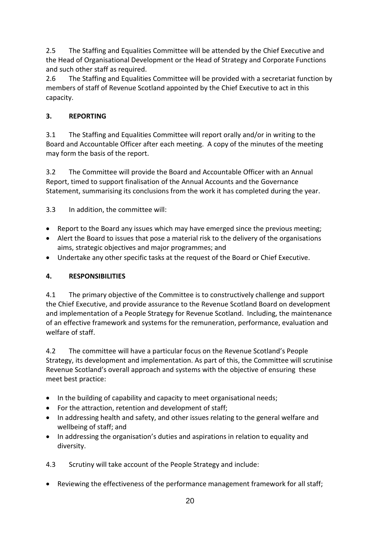2.5 The Staffing and Equalities Committee will be attended by the Chief Executive and the Head of Organisational Development or the Head of Strategy and Corporate Functions and such other staff as required.

2.6 The Staffing and Equalities Committee will be provided with a secretariat function by members of staff of Revenue Scotland appointed by the Chief Executive to act in this capacity.

# **3. REPORTING**

3.1 The Staffing and Equalities Committee will report orally and/or in writing to the Board and Accountable Officer after each meeting. A copy of the minutes of the meeting may form the basis of the report.

3.2 The Committee will provide the Board and Accountable Officer with an Annual Report, timed to support finalisation of the Annual Accounts and the Governance Statement, summarising its conclusions from the work it has completed during the year.

3.3 In addition, the committee will:

- Report to the Board any issues which may have emerged since the previous meeting;
- Alert the Board to issues that pose a material risk to the delivery of the organisations aims, strategic objectives and major programmes; and
- Undertake any other specific tasks at the request of the Board or Chief Executive.

# **4. RESPONSIBILITIES**

4.1 The primary objective of the Committee is to constructively challenge and support the Chief Executive, and provide assurance to the Revenue Scotland Board on development and implementation of a People Strategy for Revenue Scotland. Including, the maintenance of an effective framework and systems for the remuneration, performance, evaluation and welfare of staff.

4.2 The committee will have a particular focus on the Revenue Scotland's People Strategy, its development and implementation. As part of this, the Committee will scrutinise Revenue Scotland's overall approach and systems with the objective of ensuring these meet best practice:

- In the building of capability and capacity to meet organisational needs;
- For the attraction, retention and development of staff;
- In addressing health and safety, and other issues relating to the general welfare and wellbeing of staff; and
- In addressing the organisation's duties and aspirations in relation to equality and diversity.

4.3 Scrutiny will take account of the People Strategy and include:

Reviewing the effectiveness of the performance management framework for all staff;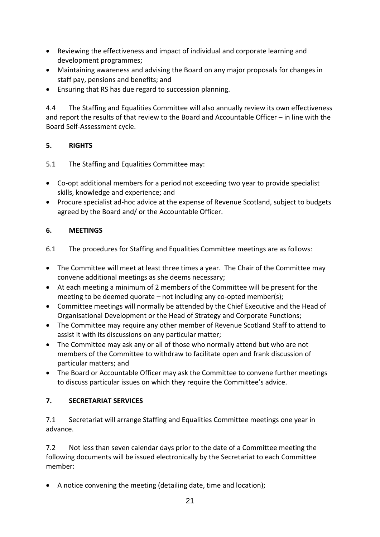- Reviewing the effectiveness and impact of individual and corporate learning and development programmes;
- Maintaining awareness and advising the Board on any major proposals for changes in staff pay, pensions and benefits; and
- Ensuring that RS has due regard to succession planning.

4.4 The Staffing and Equalities Committee will also annually review its own effectiveness and report the results of that review to the Board and Accountable Officer – in line with the Board Self-Assessment cycle.

# **5. RIGHTS**

5.1 The Staffing and Equalities Committee may:

- Co-opt additional members for a period not exceeding two year to provide specialist skills, knowledge and experience; and
- Procure specialist ad-hoc advice at the expense of Revenue Scotland, subject to budgets agreed by the Board and/ or the Accountable Officer.

#### **6. MEETINGS**

- 6.1 The procedures for Staffing and Equalities Committee meetings are as follows:
- The Committee will meet at least three times a year. The Chair of the Committee may convene additional meetings as she deems necessary;
- At each meeting a minimum of 2 members of the Committee will be present for the meeting to be deemed quorate – not including any co-opted member(s);
- Committee meetings will normally be attended by the Chief Executive and the Head of Organisational Development or the Head of Strategy and Corporate Functions;
- The Committee may require any other member of Revenue Scotland Staff to attend to assist it with its discussions on any particular matter;
- The Committee may ask any or all of those who normally attend but who are not members of the Committee to withdraw to facilitate open and frank discussion of particular matters; and
- The Board or Accountable Officer may ask the Committee to convene further meetings to discuss particular issues on which they require the Committee's advice.

# **7. SECRETARIAT SERVICES**

7.1 Secretariat will arrange Staffing and Equalities Committee meetings one year in advance.

7.2 Not less than seven calendar days prior to the date of a Committee meeting the following documents will be issued electronically by the Secretariat to each Committee member:

A notice convening the meeting (detailing date, time and location);